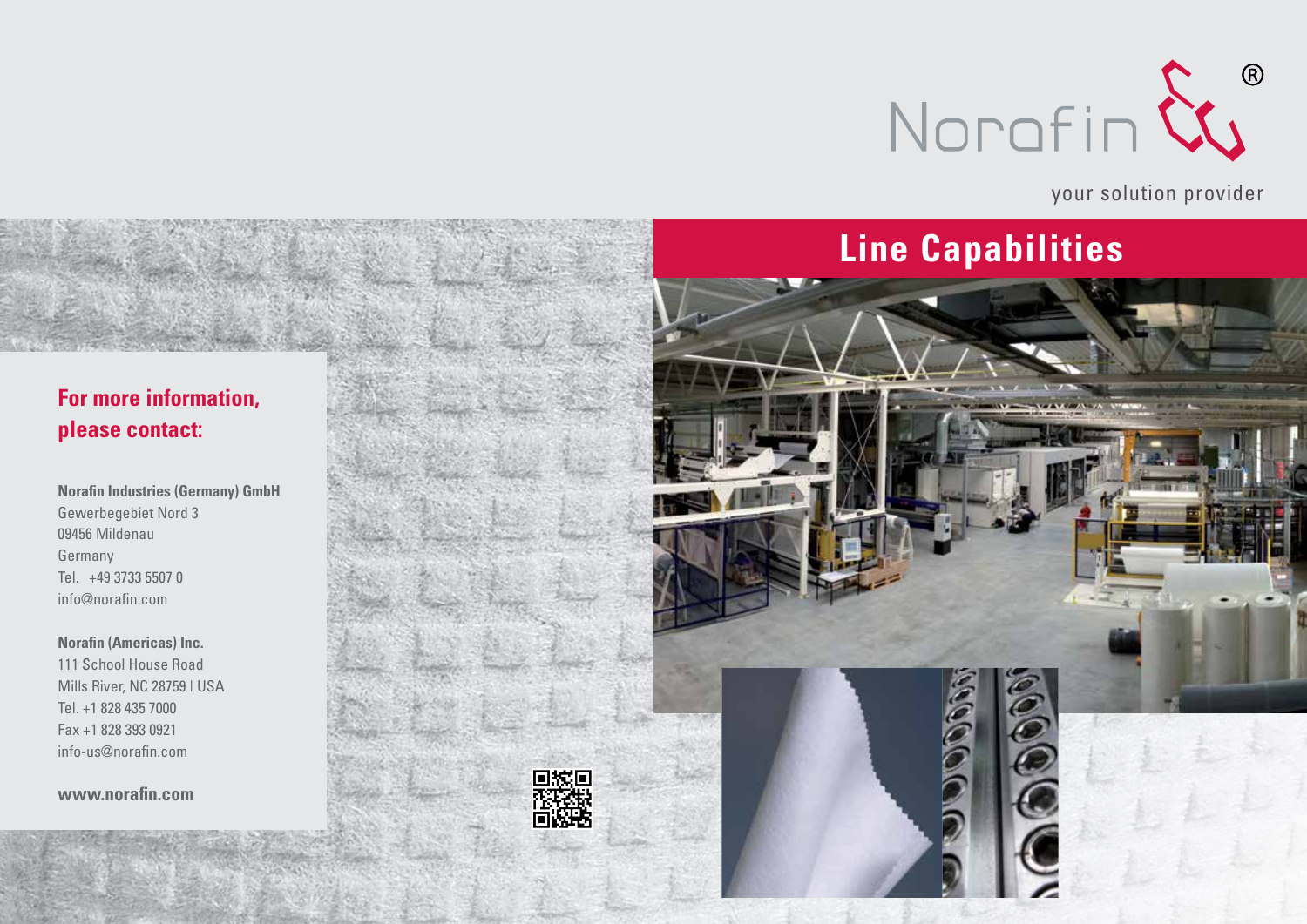

your solution provider

## **Line Capabilities**

### **For more information, please contact:**

**Norafin Industries (Germany) GmbH** Gewerbegebiet Nord 3 09456 Mildenau Germany Tel. +49 3733 5507 0 info@norafin.com

**Norafin (Americas) Inc.** 111 School House Road Mills River, NC 28759 | USA Tel. +1 828 435 7000 Fax +1 828 393 0921 info-us@norafin.com

**www.norafin.com**

同的